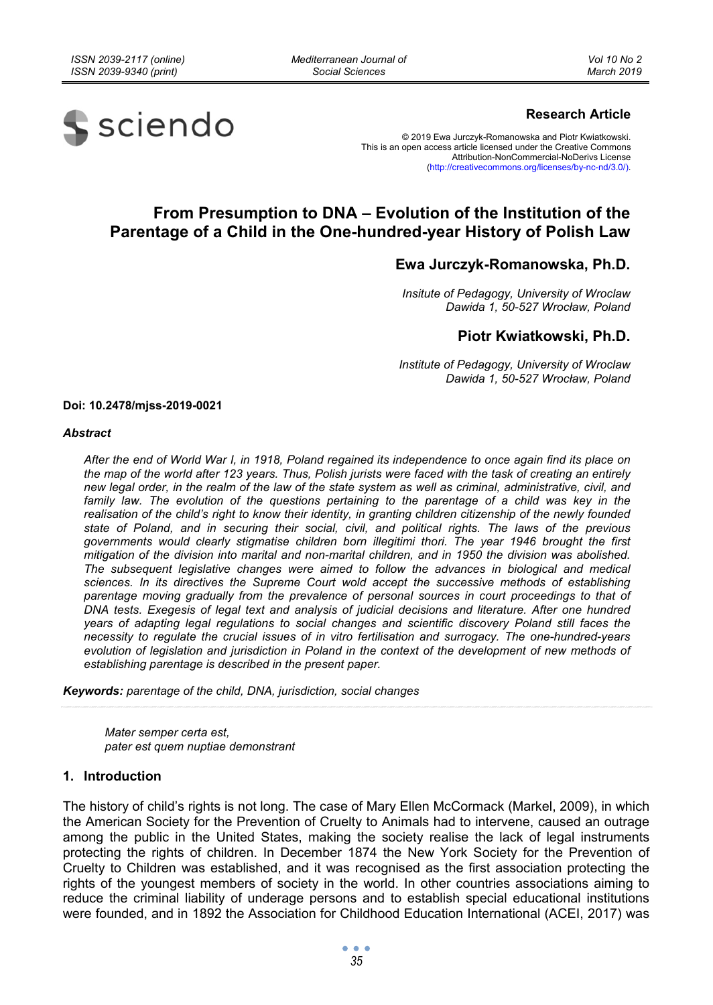*Mediterranean Journal of Social Sciences* 



# **Research Article**

© 2019 Ewa Jurczyk-Romanowska and Piotr Kwiatkowski. This is an open access article licensed under the Creative Commons Attribution-NonCommercial-NoDerivs License (http://creativecommons.org/licenses/by-nc-nd/3.0/).

# **From Presumption to DNA – Evolution of the Institution of the Parentage of a Child in the One-hundred-year History of Polish Law**

# **Ewa Jurczyk-Romanowska, Ph.D.**

*Insitute of Pedagogy, University of Wroclaw Dawida 1, 50-527 Wrocław, Poland* 

# **Piotr Kwiatkowski, Ph.D.**

*Institute of Pedagogy, University of Wroclaw Dawida 1, 50-527 Wrocław, Poland* 

**Doi: 10.2478/mjss-2019-0021** 

#### *Abstract*

*After the end of World War I, in 1918, Poland regained its independence to once again find its place on the map of the world after 123 years. Thus, Polish jurists were faced with the task of creating an entirely new legal order, in the realm of the law of the state system as well as criminal, administrative, civil, and*  family law. The evolution of the questions pertaining to the parentage of a child was key in the *realisation of the child's right to know their identity, in granting children citizenship of the newly founded state of Poland, and in securing their social, civil, and political rights. The laws of the previous governments would clearly stigmatise children born illegitimi thori. The year 1946 brought the first mitigation of the division into marital and non-marital children, and in 1950 the division was abolished. The subsequent legislative changes were aimed to follow the advances in biological and medical sciences. In its directives the Supreme Court wold accept the successive methods of establishing*  parentage moving gradually from the prevalence of personal sources in court proceedings to that of *DNA tests. Exegesis of legal text and analysis of judicial decisions and literature. After one hundred years of adapting legal regulations to social changes and scientific discovery Poland still faces the necessity to regulate the crucial issues of in vitro fertilisation and surrogacy. The one-hundred-years evolution of legislation and jurisdiction in Poland in the context of the development of new methods of establishing parentage is described in the present paper.* 

*Keywords: parentage of the child, DNA, jurisdiction, social changes* 

*Mater semper certa est, pater est quem nuptiae demonstrant* 

#### **1. Introduction**

The history of child's rights is not long. The case of Mary Ellen McCormack (Markel, 2009), in which the American Society for the Prevention of Cruelty to Animals had to intervene, caused an outrage among the public in the United States, making the society realise the lack of legal instruments protecting the rights of children. In December 1874 the New York Society for the Prevention of Cruelty to Children was established, and it was recognised as the first association protecting the rights of the youngest members of society in the world. In other countries associations aiming to reduce the criminal liability of underage persons and to establish special educational institutions were founded, and in 1892 the Association for Childhood Education International (ACEI, 2017) was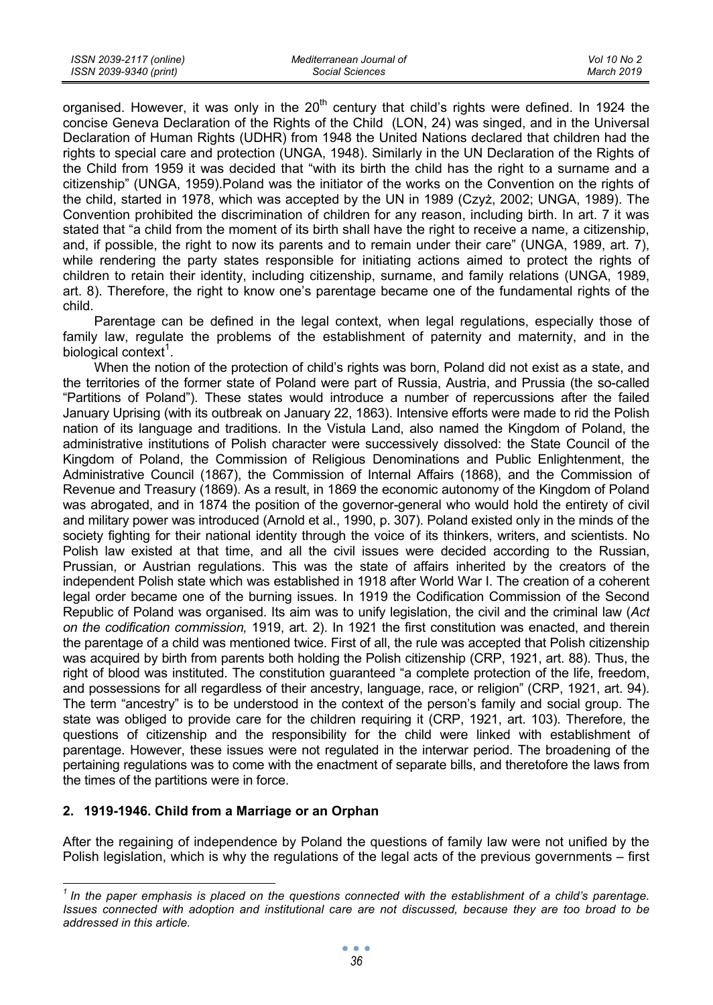| ISSN 2039-2117 (online) | Mediterranean Journal of | Vol 10 No 2 |
|-------------------------|--------------------------|-------------|
| ISSN 2039-9340 (print)  | Social Sciences          | March 2019  |

organised. However, it was only in the 20<sup>th</sup> century that child's rights were defined. In 1924 the concise Geneva Declaration of the Rights of the Child (LON, 24) was singed, and in the Universal Declaration of Human Rights (UDHR) from 1948 the United Nations declared that children had the rights to special care and protection (UNGA, 1948). Similarly in the UN Declaration of the Rights of the Child from 1959 it was decided that "with its birth the child has the right to a surname and a citizenship" (UNGA, 1959).Poland was the initiator of the works on the Convention on the rights of the child, started in 1978, which was accepted by the UN in 1989 (Czyż, 2002; UNGA, 1989). The Convention prohibited the discrimination of children for any reason, including birth. In art. 7 it was stated that "a child from the moment of its birth shall have the right to receive a name, a citizenship, and, if possible, the right to now its parents and to remain under their care" (UNGA, 1989, art. 7), while rendering the party states responsible for initiating actions aimed to protect the rights of children to retain their identity, including citizenship, surname, and family relations (UNGA, 1989, art. 8). Therefore, the right to know one's parentage became one of the fundamental rights of the child.

Parentage can be defined in the legal context, when legal regulations, especially those of family law, regulate the problems of the establishment of paternity and maternity, and in the biological context $^1$ .

When the notion of the protection of child's rights was born, Poland did not exist as a state, and the territories of the former state of Poland were part of Russia, Austria, and Prussia (the so-called "Partitions of Poland"). These states would introduce a number of repercussions after the failed January Uprising (with its outbreak on January 22, 1863). Intensive efforts were made to rid the Polish nation of its language and traditions. In the Vistula Land, also named the Kingdom of Poland, the administrative institutions of Polish character were successively dissolved: the State Council of the Kingdom of Poland, the Commission of Religious Denominations and Public Enlightenment, the Administrative Council (1867), the Commission of Internal Affairs (1868), and the Commission of Revenue and Treasury (1869). As a result, in 1869 the economic autonomy of the Kingdom of Poland was abrogated, and in 1874 the position of the governor-general who would hold the entirety of civil and military power was introduced (Arnold et al., 1990, p. 307). Poland existed only in the minds of the society fighting for their national identity through the voice of its thinkers, writers, and scientists. No Polish law existed at that time, and all the civil issues were decided according to the Russian, Prussian, or Austrian regulations. This was the state of affairs inherited by the creators of the independent Polish state which was established in 1918 after World War I. The creation of a coherent legal order became one of the burning issues. In 1919 the Codification Commission of the Second Republic of Poland was organised. Its aim was to unify legislation, the civil and the criminal law (*Act on the codification commission,* 1919, art. 2). In 1921 the first constitution was enacted, and therein the parentage of a child was mentioned twice. First of all, the rule was accepted that Polish citizenship was acquired by birth from parents both holding the Polish citizenship (CRP, 1921, art. 88). Thus, the right of blood was instituted. The constitution guaranteed "a complete protection of the life, freedom, and possessions for all regardless of their ancestry, language, race, or religion" (CRP, 1921, art. 94). The term "ancestry" is to be understood in the context of the person's family and social group. The state was obliged to provide care for the children requiring it (CRP, 1921, art. 103). Therefore, the questions of citizenship and the responsibility for the child were linked with establishment of parentage. However, these issues were not regulated in the interwar period. The broadening of the pertaining regulations was to come with the enactment of separate bills, and theretofore the laws from the times of the partitions were in force.

#### **2. 1919-1946. Child from a Marriage or an Orphan**

After the regaining of independence by Poland the questions of family law were not unified by the Polish legislation, which is why the regulations of the legal acts of the previous governments – first

<sup>&</sup>lt;sup>1</sup> In the paper emphasis is placed on the questions connected with the establishment of a child's parentage. *Issues connected with adoption and institutional care are not discussed, because they are too broad to be addressed in this article.*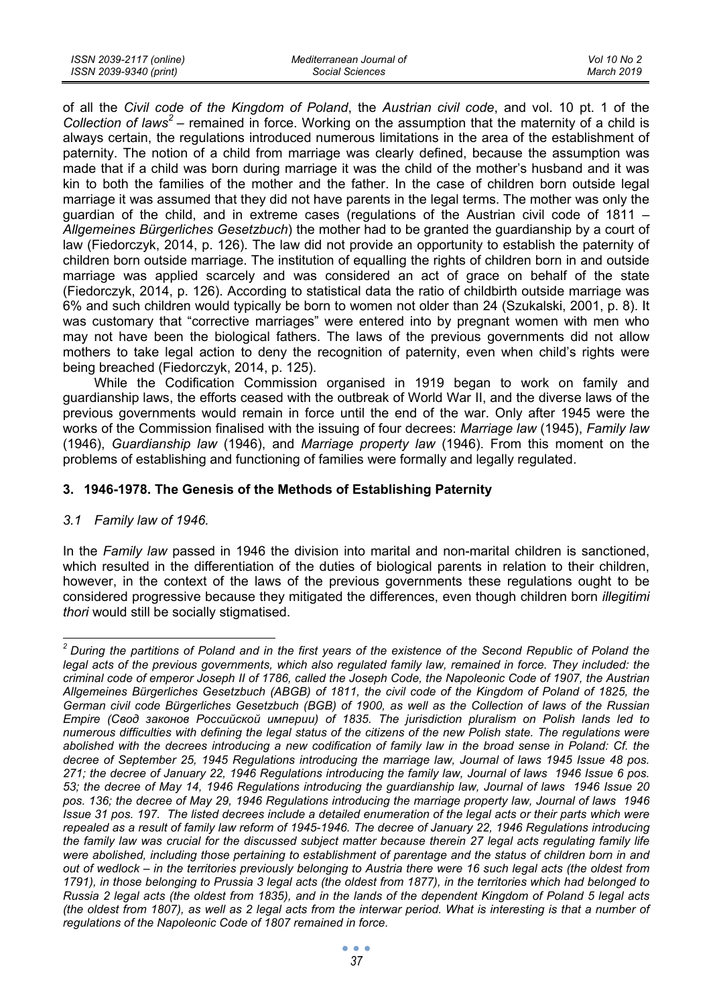| ISSN 2039-2117 (online) | Mediterranean Journal of | Vol 10 No 2 |
|-------------------------|--------------------------|-------------|
| ISSN 2039-9340 (print)  | Social Sciences          | March 2019  |

of all the *Civil code of the Kingdom of Poland*, the *Austrian civil code*, and vol. 10 pt. 1 of the Collection of laws<sup>2</sup> – remained in force. Working on the assumption that the maternity of a child is always certain, the regulations introduced numerous limitations in the area of the establishment of paternity. The notion of a child from marriage was clearly defined, because the assumption was made that if a child was born during marriage it was the child of the mother's husband and it was kin to both the families of the mother and the father. In the case of children born outside legal marriage it was assumed that they did not have parents in the legal terms. The mother was only the guardian of the child, and in extreme cases (regulations of the Austrian civil code of 1811 – *Allgemeines Bürgerliches Gesetzbuch*) the mother had to be granted the guardianship by a court of law (Fiedorczyk, 2014, p. 126). The law did not provide an opportunity to establish the paternity of children born outside marriage. The institution of equalling the rights of children born in and outside marriage was applied scarcely and was considered an act of grace on behalf of the state (Fiedorczyk, 2014, p. 126). According to statistical data the ratio of childbirth outside marriage was 6% and such children would typically be born to women not older than 24 (Szukalski, 2001, p. 8). It was customary that "corrective marriages" were entered into by pregnant women with men who may not have been the biological fathers. The laws of the previous governments did not allow mothers to take legal action to deny the recognition of paternity, even when child's rights were being breached (Fiedorczyk, 2014, p. 125).

While the Codification Commission organised in 1919 began to work on family and guardianship laws, the efforts ceased with the outbreak of World War II, and the diverse laws of the previous governments would remain in force until the end of the war. Only after 1945 were the works of the Commission finalised with the issuing of four decrees: *Marriage law* (1945), *Family law*  (1946), *Guardianship law* (1946), and *Marriage property law* (1946). From this moment on the problems of establishing and functioning of families were formally and legally regulated.

# **3. 1946-1978. The Genesis of the Methods of Establishing Paternity**

# *3.1 Family law of 1946.*

In the *Family law* passed in 1946 the division into marital and non-marital children is sanctioned, which resulted in the differentiation of the duties of biological parents in relation to their children, however, in the context of the laws of the previous governments these regulations ought to be considered progressive because they mitigated the differences, even though children born *illegitimi thori* would still be socially stigmatised.

 *2 During the partitions of Poland and in the first years of the existence of the Second Republic of Poland the legal acts of the previous governments, which also regulated family law, remained in force. They included: the criminal code of emperor Joseph II of 1786, called the Joseph Code, the Napoleonic Code of 1907, the Austrian Allgemeines Bürgerliches Gesetzbuch (ABGB) of 1811, the civil code of the Kingdom of Poland of 1825, the German civil code Bürgerliches Gesetzbuch (BGB) of 1900, as well as the Collection of laws of the Russian Empire (Свод законов Российской империи) of 1835. The jurisdiction pluralism on Polish lands led to numerous difficulties with defining the legal status of the citizens of the new Polish state. The regulations were abolished with the decrees introducing a new codification of family law in the broad sense in Poland: Cf. the decree of September 25, 1945 Regulations introducing the marriage law, Journal of laws 1945 Issue 48 pos. 271; the decree of January 22, 1946 Regulations introducing the family law, Journal of laws 1946 Issue 6 pos. 53; the decree of May 14, 1946 Regulations introducing the guardianship law, Journal of laws 1946 Issue 20*  pos. 136; the decree of May 29, 1946 Regulations introducing the marriage property law, Journal of laws 1946 *Issue 31 pos. 197. The listed decrees include a detailed enumeration of the legal acts or their parts which were repealed as a result of family law reform of 1945-1946. The decree of January 22, 1946 Regulations introducing the family law was crucial for the discussed subject matter because therein 27 legal acts regulating family life*  were abolished, including those pertaining to establishment of parentage and the status of children born in and *out of wedlock – in the territories previously belonging to Austria there were 16 such legal acts (the oldest from 1791), in those belonging to Prussia 3 legal acts (the oldest from 1877), in the territories which had belonged to Russia 2 legal acts (the oldest from 1835), and in the lands of the dependent Kingdom of Poland 5 legal acts (the oldest from 1807), as well as 2 legal acts from the interwar period. What is interesting is that a number of regulations of the Napoleonic Code of 1807 remained in force.*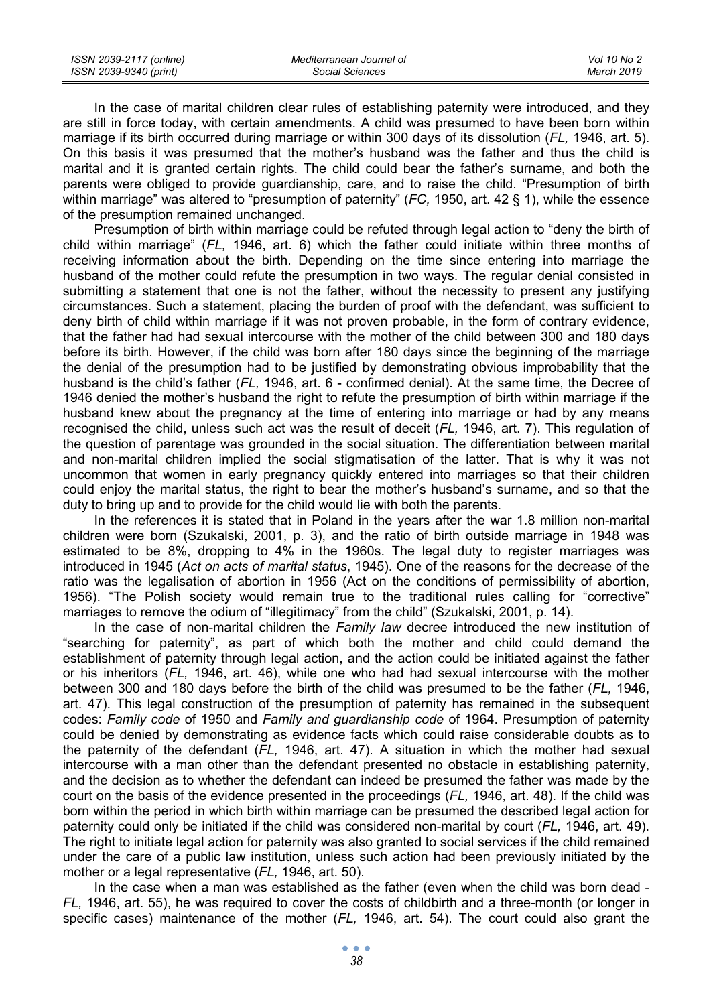| ISSN 2039-2117 (online) | Mediterranean Journal of | Vol 10 No 2 |
|-------------------------|--------------------------|-------------|
| ISSN 2039-9340 (print)  | Social Sciences          | March 2019  |

In the case of marital children clear rules of establishing paternity were introduced, and they are still in force today, with certain amendments. A child was presumed to have been born within marriage if its birth occurred during marriage or within 300 days of its dissolution (*FL,* 1946, art. 5). On this basis it was presumed that the mother's husband was the father and thus the child is marital and it is granted certain rights. The child could bear the father's surname, and both the parents were obliged to provide guardianship, care, and to raise the child. "Presumption of birth within marriage" was altered to "presumption of paternity" (*FC,* 1950, art. 42 § 1), while the essence of the presumption remained unchanged.

Presumption of birth within marriage could be refuted through legal action to "deny the birth of child within marriage" (*FL,* 1946, art. 6) which the father could initiate within three months of receiving information about the birth. Depending on the time since entering into marriage the husband of the mother could refute the presumption in two ways. The regular denial consisted in submitting a statement that one is not the father, without the necessity to present any justifying circumstances. Such a statement, placing the burden of proof with the defendant, was sufficient to deny birth of child within marriage if it was not proven probable, in the form of contrary evidence, that the father had had sexual intercourse with the mother of the child between 300 and 180 days before its birth. However, if the child was born after 180 days since the beginning of the marriage the denial of the presumption had to be justified by demonstrating obvious improbability that the husband is the child's father (*FL,* 1946, art. 6 - confirmed denial). At the same time, the Decree of 1946 denied the mother's husband the right to refute the presumption of birth within marriage if the husband knew about the pregnancy at the time of entering into marriage or had by any means recognised the child, unless such act was the result of deceit (*FL,* 1946, art. 7). This regulation of the question of parentage was grounded in the social situation. The differentiation between marital and non-marital children implied the social stigmatisation of the latter. That is why it was not uncommon that women in early pregnancy quickly entered into marriages so that their children could enjoy the marital status, the right to bear the mother's husband's surname, and so that the duty to bring up and to provide for the child would lie with both the parents.

In the references it is stated that in Poland in the years after the war 1.8 million non-marital children were born (Szukalski, 2001, p. 3), and the ratio of birth outside marriage in 1948 was estimated to be 8%, dropping to 4% in the 1960s. The legal duty to register marriages was introduced in 1945 (*Act on acts of marital status*, 1945). One of the reasons for the decrease of the ratio was the legalisation of abortion in 1956 (Act on the conditions of permissibility of abortion, 1956). "The Polish society would remain true to the traditional rules calling for "corrective" marriages to remove the odium of "illegitimacy" from the child" (Szukalski, 2001, p. 14).

In the case of non-marital children the *Family law* decree introduced the new institution of "searching for paternity", as part of which both the mother and child could demand the establishment of paternity through legal action, and the action could be initiated against the father or his inheritors (*FL,* 1946, art. 46), while one who had had sexual intercourse with the mother between 300 and 180 days before the birth of the child was presumed to be the father (*FL,* 1946, art. 47). This legal construction of the presumption of paternity has remained in the subsequent codes: *Family code* of 1950 and *Family and guardianship code* of 1964. Presumption of paternity could be denied by demonstrating as evidence facts which could raise considerable doubts as to the paternity of the defendant (*FL,* 1946, art. 47). A situation in which the mother had sexual intercourse with a man other than the defendant presented no obstacle in establishing paternity, and the decision as to whether the defendant can indeed be presumed the father was made by the court on the basis of the evidence presented in the proceedings (*FL,* 1946, art. 48). If the child was born within the period in which birth within marriage can be presumed the described legal action for paternity could only be initiated if the child was considered non-marital by court (*FL,* 1946, art. 49). The right to initiate legal action for paternity was also granted to social services if the child remained under the care of a public law institution, unless such action had been previously initiated by the mother or a legal representative (*FL,* 1946, art. 50).

In the case when a man was established as the father (even when the child was born dead - *FL,* 1946, art. 55), he was required to cover the costs of childbirth and a three-month (or longer in specific cases) maintenance of the mother (*FL,* 1946, art. 54). The court could also grant the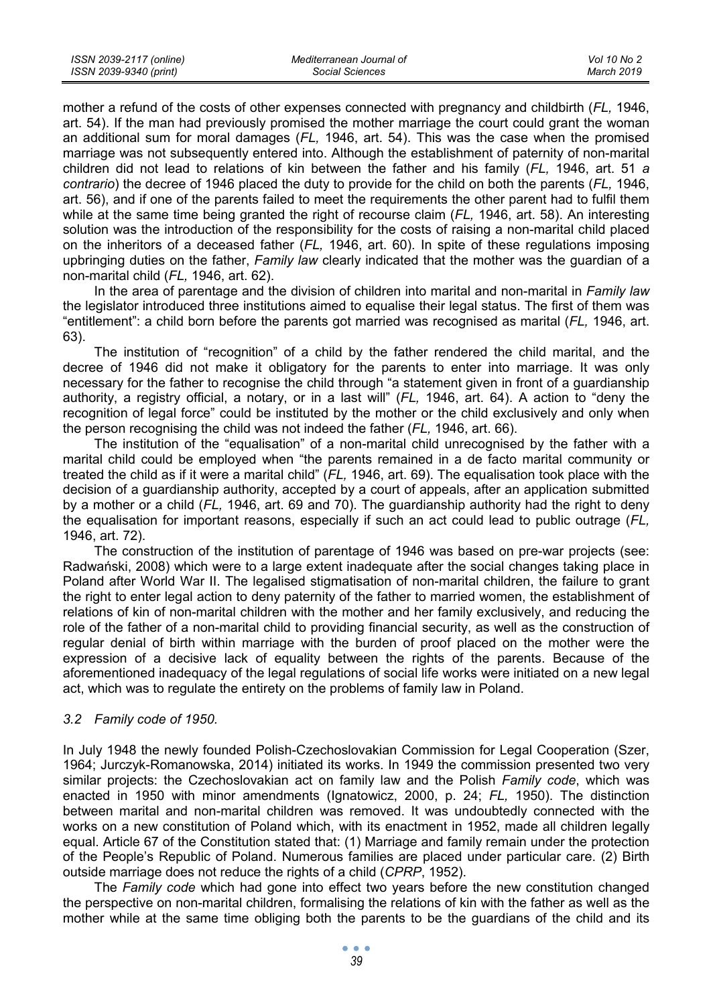| ISSN 2039-2117 (online) | Mediterranean Journal of | Vol 10 No 2 |
|-------------------------|--------------------------|-------------|
| ISSN 2039-9340 (print)  | Social Sciences          | March 2019  |

mother a refund of the costs of other expenses connected with pregnancy and childbirth (*FL,* 1946, art. 54). If the man had previously promised the mother marriage the court could grant the woman an additional sum for moral damages (*FL,* 1946, art. 54). This was the case when the promised marriage was not subsequently entered into. Although the establishment of paternity of non-marital children did not lead to relations of kin between the father and his family (*FL,* 1946, art. 51 *a contrario*) the decree of 1946 placed the duty to provide for the child on both the parents (*FL,* 1946, art. 56), and if one of the parents failed to meet the requirements the other parent had to fulfil them while at the same time being granted the right of recourse claim (*FL,* 1946, art. 58). An interesting solution was the introduction of the responsibility for the costs of raising a non-marital child placed on the inheritors of a deceased father (*FL,* 1946, art. 60). In spite of these regulations imposing upbringing duties on the father, *Family law* clearly indicated that the mother was the guardian of a non-marital child (*FL,* 1946, art. 62).

In the area of parentage and the division of children into marital and non-marital in *Family law* the legislator introduced three institutions aimed to equalise their legal status. The first of them was "entitlement": a child born before the parents got married was recognised as marital (*FL,* 1946, art. 63).

The institution of "recognition" of a child by the father rendered the child marital, and the decree of 1946 did not make it obligatory for the parents to enter into marriage. It was only necessary for the father to recognise the child through "a statement given in front of a guardianship authority, a registry official, a notary, or in a last will" (*FL,* 1946, art. 64). A action to "deny the recognition of legal force" could be instituted by the mother or the child exclusively and only when the person recognising the child was not indeed the father (*FL,* 1946, art. 66).

The institution of the "equalisation" of a non-marital child unrecognised by the father with a marital child could be employed when "the parents remained in a de facto marital community or treated the child as if it were a marital child" (*FL,* 1946, art. 69). The equalisation took place with the decision of a guardianship authority, accepted by a court of appeals, after an application submitted by a mother or a child (*FL,* 1946, art. 69 and 70). The guardianship authority had the right to deny the equalisation for important reasons, especially if such an act could lead to public outrage (*FL,*  1946, art. 72).

The construction of the institution of parentage of 1946 was based on pre-war projects (see: Radwański, 2008) which were to a large extent inadequate after the social changes taking place in Poland after World War II. The legalised stigmatisation of non-marital children, the failure to grant the right to enter legal action to deny paternity of the father to married women, the establishment of relations of kin of non-marital children with the mother and her family exclusively, and reducing the role of the father of a non-marital child to providing financial security, as well as the construction of regular denial of birth within marriage with the burden of proof placed on the mother were the expression of a decisive lack of equality between the rights of the parents. Because of the aforementioned inadequacy of the legal regulations of social life works were initiated on a new legal act, which was to regulate the entirety on the problems of family law in Poland.

#### *3.2 Family code of 1950.*

In July 1948 the newly founded Polish-Czechoslovakian Commission for Legal Cooperation (Szer, 1964; Jurczyk-Romanowska, 2014) initiated its works. In 1949 the commission presented two very similar projects: the Czechoslovakian act on family law and the Polish *Family code*, which was enacted in 1950 with minor amendments (Ignatowicz, 2000, p. 24; *FL,* 1950). The distinction between marital and non-marital children was removed. It was undoubtedly connected with the works on a new constitution of Poland which, with its enactment in 1952, made all children legally equal. Article 67 of the Constitution stated that: (1) Marriage and family remain under the protection of the People's Republic of Poland. Numerous families are placed under particular care. (2) Birth outside marriage does not reduce the rights of a child (*CPRP*, 1952).

The *Family code* which had gone into effect two years before the new constitution changed the perspective on non-marital children, formalising the relations of kin with the father as well as the mother while at the same time obliging both the parents to be the guardians of the child and its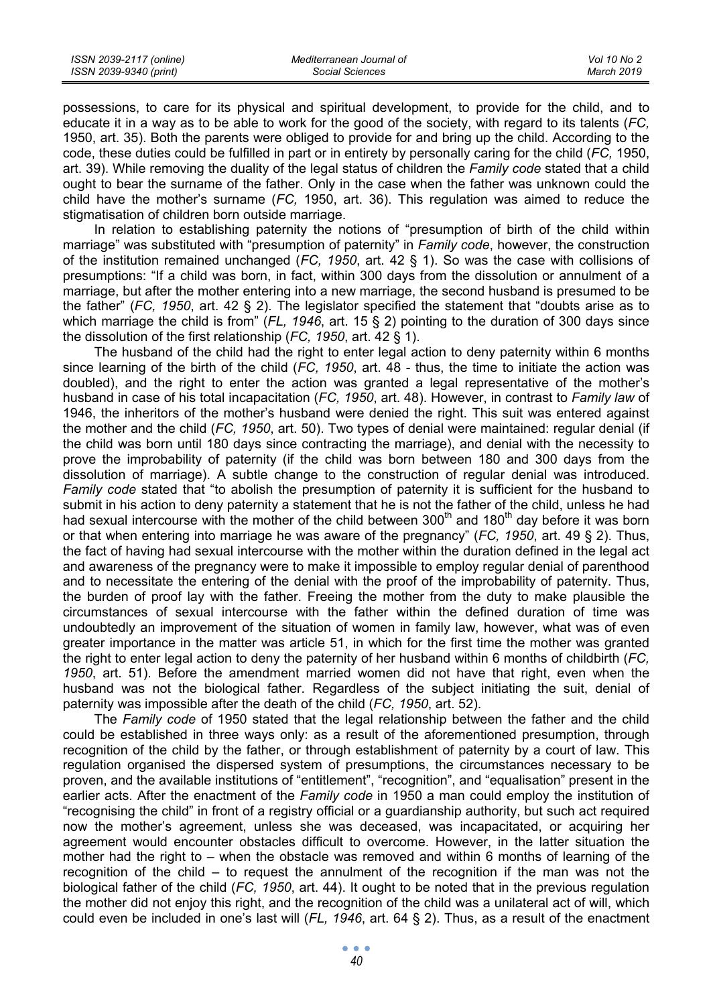| ISSN 2039-2117 (online) | Mediterranean Journal of | Vol 10 No 2 |
|-------------------------|--------------------------|-------------|
| ISSN 2039-9340 (print)  | Social Sciences          | March 2019  |

possessions, to care for its physical and spiritual development, to provide for the child, and to educate it in a way as to be able to work for the good of the society, with regard to its talents (*FC,*  1950, art. 35). Both the parents were obliged to provide for and bring up the child. According to the code, these duties could be fulfilled in part or in entirety by personally caring for the child (*FC,* 1950, art. 39). While removing the duality of the legal status of children the *Family code* stated that a child ought to bear the surname of the father. Only in the case when the father was unknown could the child have the mother's surname (*FC,* 1950, art. 36). This regulation was aimed to reduce the stigmatisation of children born outside marriage.

In relation to establishing paternity the notions of "presumption of birth of the child within marriage" was substituted with "presumption of paternity" in *Family code*, however, the construction of the institution remained unchanged (*FC, 1950*, art. 42 § 1). So was the case with collisions of presumptions: "If a child was born, in fact, within 300 days from the dissolution or annulment of a marriage, but after the mother entering into a new marriage, the second husband is presumed to be the father" (*FC, 1950*, art. 42 § 2). The legislator specified the statement that "doubts arise as to which marriage the child is from" (*FL, 1946*, art. 15 § 2) pointing to the duration of 300 days since the dissolution of the first relationship (*FC, 1950*, art. 42 § 1).

The husband of the child had the right to enter legal action to deny paternity within 6 months since learning of the birth of the child (*FC, 1950*, art. 48 - thus, the time to initiate the action was doubled), and the right to enter the action was granted a legal representative of the mother's husband in case of his total incapacitation (*FC, 1950*, art. 48). However, in contrast to *Family law* of 1946, the inheritors of the mother's husband were denied the right. This suit was entered against the mother and the child (*FC, 1950*, art. 50). Two types of denial were maintained: regular denial (if the child was born until 180 days since contracting the marriage), and denial with the necessity to prove the improbability of paternity (if the child was born between 180 and 300 days from the dissolution of marriage). A subtle change to the construction of regular denial was introduced. *Family code* stated that "to abolish the presumption of paternity it is sufficient for the husband to submit in his action to deny paternity a statement that he is not the father of the child, unless he had had sexual intercourse with the mother of the child between 300<sup>th</sup> and 180<sup>th</sup> day before it was born or that when entering into marriage he was aware of the pregnancy" (*FC, 1950*, art. 49 § 2). Thus, the fact of having had sexual intercourse with the mother within the duration defined in the legal act and awareness of the pregnancy were to make it impossible to employ regular denial of parenthood and to necessitate the entering of the denial with the proof of the improbability of paternity. Thus, the burden of proof lay with the father. Freeing the mother from the duty to make plausible the circumstances of sexual intercourse with the father within the defined duration of time was undoubtedly an improvement of the situation of women in family law, however, what was of even greater importance in the matter was article 51, in which for the first time the mother was granted the right to enter legal action to deny the paternity of her husband within 6 months of childbirth (*FC, 1950*, art. 51). Before the amendment married women did not have that right, even when the husband was not the biological father. Regardless of the subject initiating the suit, denial of paternity was impossible after the death of the child (*FC, 1950*, art. 52).

The *Family code* of 1950 stated that the legal relationship between the father and the child could be established in three ways only: as a result of the aforementioned presumption, through recognition of the child by the father, or through establishment of paternity by a court of law. This regulation organised the dispersed system of presumptions, the circumstances necessary to be proven, and the available institutions of "entitlement", "recognition", and "equalisation" present in the earlier acts. After the enactment of the *Family code* in 1950 a man could employ the institution of "recognising the child" in front of a registry official or a guardianship authority, but such act required now the mother's agreement, unless she was deceased, was incapacitated, or acquiring her agreement would encounter obstacles difficult to overcome. However, in the latter situation the mother had the right to – when the obstacle was removed and within 6 months of learning of the recognition of the child – to request the annulment of the recognition if the man was not the biological father of the child (*FC, 1950*, art. 44). It ought to be noted that in the previous regulation the mother did not enjoy this right, and the recognition of the child was a unilateral act of will, which could even be included in one's last will (*FL, 1946*, art. 64 § 2). Thus, as a result of the enactment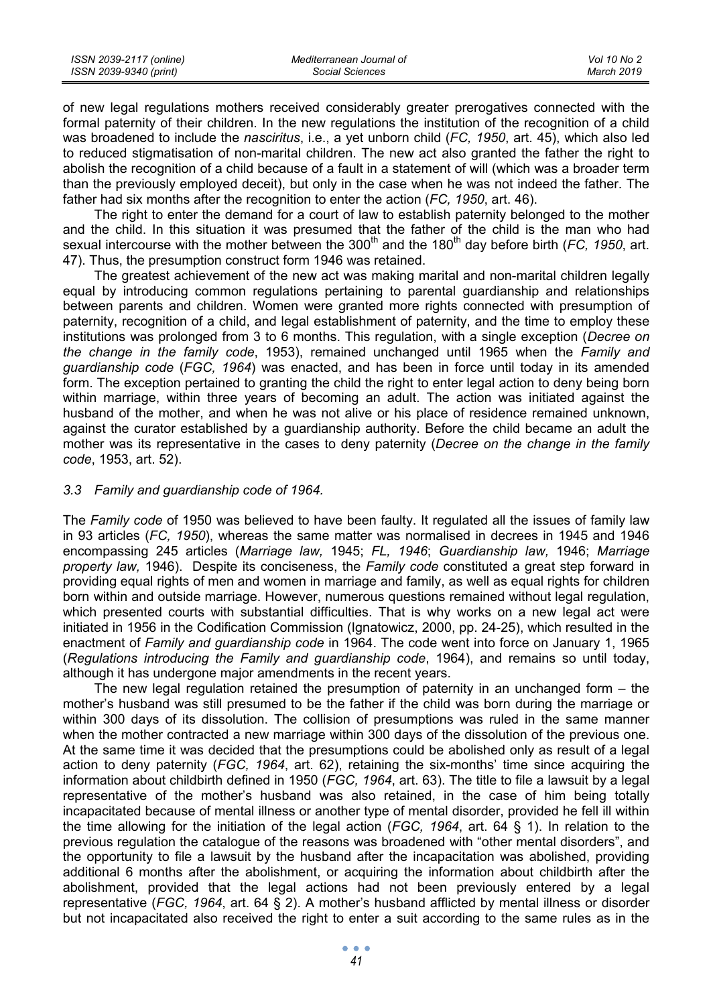| ISSN 2039-2117 (online) | Mediterranean Journal of | Vol 10 No 2 |
|-------------------------|--------------------------|-------------|
| ISSN 2039-9340 (print)  | Social Sciences          | March 2019  |

of new legal regulations mothers received considerably greater prerogatives connected with the formal paternity of their children. In the new regulations the institution of the recognition of a child was broadened to include the *nasciritus*, i.e., a yet unborn child (*FC, 1950*, art. 45), which also led to reduced stigmatisation of non-marital children. The new act also granted the father the right to abolish the recognition of a child because of a fault in a statement of will (which was a broader term than the previously employed deceit), but only in the case when he was not indeed the father. The father had six months after the recognition to enter the action (*FC, 1950*, art. 46).

The right to enter the demand for a court of law to establish paternity belonged to the mother and the child. In this situation it was presumed that the father of the child is the man who had sexual intercourse with the mother between the 300<sup>th</sup> and the 180<sup>th</sup> day before birth (*FC, 1950*, art. 47). Thus, the presumption construct form 1946 was retained.

The greatest achievement of the new act was making marital and non-marital children legally equal by introducing common regulations pertaining to parental guardianship and relationships between parents and children. Women were granted more rights connected with presumption of paternity, recognition of a child, and legal establishment of paternity, and the time to employ these institutions was prolonged from 3 to 6 months. This regulation, with a single exception (*Decree on the change in the family code*, 1953), remained unchanged until 1965 when the *Family and guardianship code* (*FGC, 1964*) was enacted, and has been in force until today in its amended form. The exception pertained to granting the child the right to enter legal action to deny being born within marriage, within three years of becoming an adult. The action was initiated against the husband of the mother, and when he was not alive or his place of residence remained unknown, against the curator established by a guardianship authority. Before the child became an adult the mother was its representative in the cases to deny paternity (*Decree on the change in the family code*, 1953, art. 52).

#### *3.3 Family and guardianship code of 1964.*

The *Family code* of 1950 was believed to have been faulty. It regulated all the issues of family law in 93 articles (*FC, 1950*), whereas the same matter was normalised in decrees in 1945 and 1946 encompassing 245 articles (*Marriage law,* 1945; *FL, 1946*; *Guardianship law,* 1946; *Marriage property law,* 1946). Despite its conciseness, the *Family code* constituted a great step forward in providing equal rights of men and women in marriage and family, as well as equal rights for children born within and outside marriage. However, numerous questions remained without legal regulation, which presented courts with substantial difficulties. That is why works on a new legal act were initiated in 1956 in the Codification Commission (Ignatowicz, 2000, pp. 24-25), which resulted in the enactment of *Family and guardianship code* in 1964. The code went into force on January 1, 1965 (*Regulations introducing the Family and guardianship code*, 1964), and remains so until today, although it has undergone major amendments in the recent years.

The new legal regulation retained the presumption of paternity in an unchanged form – the mother's husband was still presumed to be the father if the child was born during the marriage or within 300 days of its dissolution. The collision of presumptions was ruled in the same manner when the mother contracted a new marriage within 300 days of the dissolution of the previous one. At the same time it was decided that the presumptions could be abolished only as result of a legal action to deny paternity (*FGC, 1964*, art. 62), retaining the six-months' time since acquiring the information about childbirth defined in 1950 (*FGC, 1964*, art. 63). The title to file a lawsuit by a legal representative of the mother's husband was also retained, in the case of him being totally incapacitated because of mental illness or another type of mental disorder, provided he fell ill within the time allowing for the initiation of the legal action (*FGC, 1964*, art. 64 § 1). In relation to the previous regulation the catalogue of the reasons was broadened with "other mental disorders", and the opportunity to file a lawsuit by the husband after the incapacitation was abolished, providing additional 6 months after the abolishment, or acquiring the information about childbirth after the abolishment, provided that the legal actions had not been previously entered by a legal representative (*FGC, 1964*, art. 64 § 2). A mother's husband afflicted by mental illness or disorder but not incapacitated also received the right to enter a suit according to the same rules as in the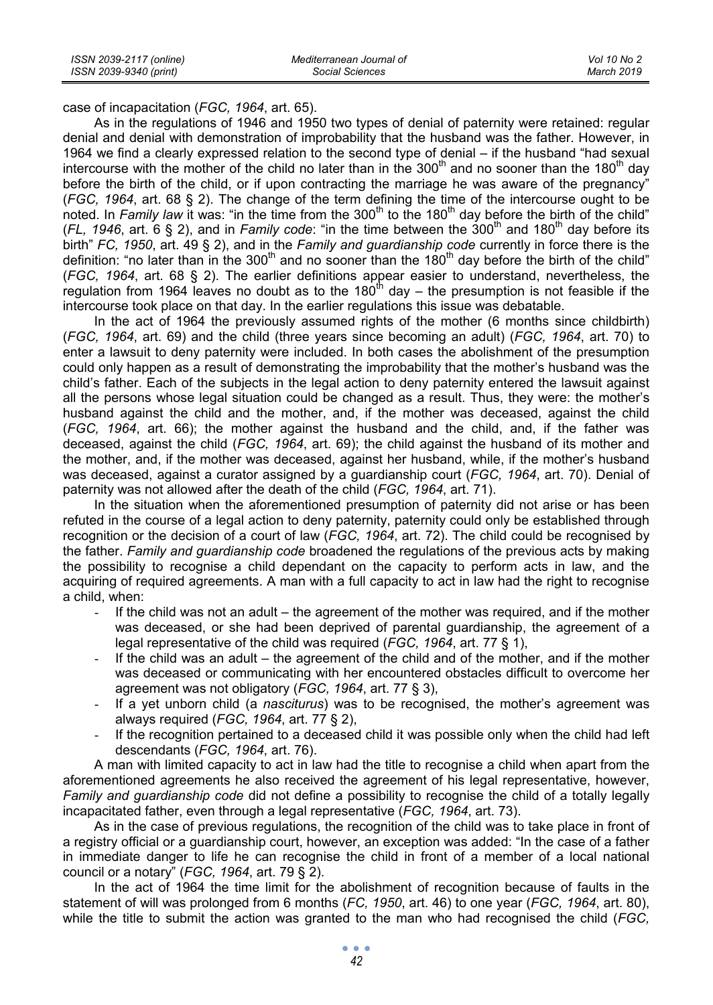case of incapacitation (*FGC, 1964*, art. 65).

As in the regulations of 1946 and 1950 two types of denial of paternity were retained: regular denial and denial with demonstration of improbability that the husband was the father. However, in 1964 we find a clearly expressed relation to the second type of denial – if the husband "had sexual intercourse with the mother of the child no later than in the 300<sup>th</sup> and no sooner than the 180<sup>th</sup> day before the birth of the child, or if upon contracting the marriage he was aware of the pregnancy" (*FGC, 1964*, art. 68 § 2). The change of the term defining the time of the intercourse ought to be noted. In *Family law* it was: "in the time from the 300<sup>th</sup> to the 180<sup>th</sup> day before the birth of the child" ( $FL$ , 1946, art. 6 § 2), and in *Family code*: "in the time between the 300<sup>th</sup> and 180<sup>th</sup> day before its birth" *FC, 1950*, art. 49 § 2), and in the *Family and guardianship code* currently in force there is the definition: "no later than in the  $300<sup>th</sup>$  and no sooner than the  $180<sup>th</sup>$  day before the birth of the child" (*FGC, 1964*, art. 68 § 2). The earlier definitions appear easier to understand, nevertheless, the regulation from 1964 leaves no doubt as to the  $180<sup>th</sup>$  day – the presumption is not feasible if the intercourse took place on that day. In the earlier regulations this issue was debatable.

In the act of 1964 the previously assumed rights of the mother (6 months since childbirth) (*FGC, 1964*, art. 69) and the child (three years since becoming an adult) (*FGC, 1964*, art. 70) to enter a lawsuit to deny paternity were included. In both cases the abolishment of the presumption could only happen as a result of demonstrating the improbability that the mother's husband was the child's father. Each of the subjects in the legal action to deny paternity entered the lawsuit against all the persons whose legal situation could be changed as a result. Thus, they were: the mother's husband against the child and the mother, and, if the mother was deceased, against the child (*FGC, 1964*, art. 66); the mother against the husband and the child, and, if the father was deceased, against the child (*FGC, 1964*, art. 69); the child against the husband of its mother and the mother, and, if the mother was deceased, against her husband, while, if the mother's husband was deceased, against a curator assigned by a guardianship court (*FGC, 1964*, art. 70). Denial of paternity was not allowed after the death of the child (*FGC, 1964*, art. 71).

In the situation when the aforementioned presumption of paternity did not arise or has been refuted in the course of a legal action to deny paternity, paternity could only be established through recognition or the decision of a court of law (*FGC, 1964*, art. 72). The child could be recognised by the father. *Family and guardianship code* broadened the regulations of the previous acts by making the possibility to recognise a child dependant on the capacity to perform acts in law, and the acquiring of required agreements. A man with a full capacity to act in law had the right to recognise a child, when:

- If the child was not an adult the agreement of the mother was required, and if the mother was deceased, or she had been deprived of parental guardianship, the agreement of a legal representative of the child was required (*FGC, 1964*, art. 77 § 1),
- If the child was an adult the agreement of the child and of the mother, and if the mother was deceased or communicating with her encountered obstacles difficult to overcome her agreement was not obligatory (*FGC, 1964*, art. 77 § 3),
- If a yet unborn child (a *nasciturus*) was to be recognised, the mother's agreement was always required (*FGC, 1964*, art. 77 § 2),
- If the recognition pertained to a deceased child it was possible only when the child had left descendants (*FGC, 1964*, art. 76).

A man with limited capacity to act in law had the title to recognise a child when apart from the aforementioned agreements he also received the agreement of his legal representative, however, *Family and guardianship code* did not define a possibility to recognise the child of a totally legally incapacitated father, even through a legal representative (*FGC, 1964*, art. 73).

As in the case of previous regulations, the recognition of the child was to take place in front of a registry official or a guardianship court, however, an exception was added: "In the case of a father in immediate danger to life he can recognise the child in front of a member of a local national council or a notary" (*FGC, 1964*, art. 79 § 2).

In the act of 1964 the time limit for the abolishment of recognition because of faults in the statement of will was prolonged from 6 months (*FC, 1950*, art. 46) to one year (*FGC, 1964*, art. 80), while the title to submit the action was granted to the man who had recognised the child (*FGC,*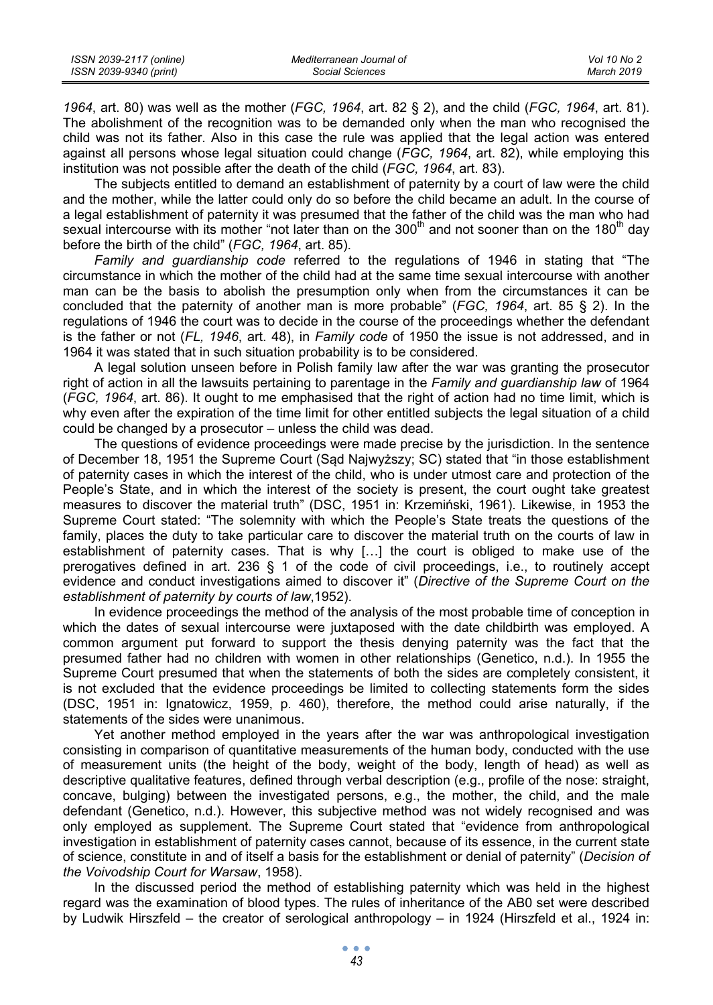| ISSN 2039-2117 (online) | Mediterranean Journal of | Vol 10 No 2 |
|-------------------------|--------------------------|-------------|
| ISSN 2039-9340 (print)  | Social Sciences          | March 2019  |

*1964*, art. 80) was well as the mother (*FGC, 1964*, art. 82 § 2), and the child (*FGC, 1964*, art. 81). The abolishment of the recognition was to be demanded only when the man who recognised the child was not its father. Also in this case the rule was applied that the legal action was entered against all persons whose legal situation could change (*FGC, 1964*, art. 82), while employing this institution was not possible after the death of the child (*FGC, 1964*, art. 83).

The subjects entitled to demand an establishment of paternity by a court of law were the child and the mother, while the latter could only do so before the child became an adult. In the course of a legal establishment of paternity it was presumed that the father of the child was the man who had sexual intercourse with its mother "not later than on the  $300<sup>th</sup>$  and not sooner than on the 180<sup>th</sup> day before the birth of the child" (*FGC, 1964*, art. 85).

*Family and guardianship code* referred to the regulations of 1946 in stating that "The circumstance in which the mother of the child had at the same time sexual intercourse with another man can be the basis to abolish the presumption only when from the circumstances it can be concluded that the paternity of another man is more probable" (*FGC, 1964*, art. 85 § 2). In the regulations of 1946 the court was to decide in the course of the proceedings whether the defendant is the father or not (*FL, 1946*, art. 48), in *Family code* of 1950 the issue is not addressed, and in 1964 it was stated that in such situation probability is to be considered.

A legal solution unseen before in Polish family law after the war was granting the prosecutor right of action in all the lawsuits pertaining to parentage in the *Family and guardianship law* of 1964 (*FGC, 1964*, art. 86). It ought to me emphasised that the right of action had no time limit, which is why even after the expiration of the time limit for other entitled subjects the legal situation of a child could be changed by a prosecutor – unless the child was dead.

The questions of evidence proceedings were made precise by the jurisdiction. In the sentence of December 18, 1951 the Supreme Court (Sąd Najwyższy; SC) stated that "in those establishment of paternity cases in which the interest of the child, who is under utmost care and protection of the People's State, and in which the interest of the society is present, the court ought take greatest measures to discover the material truth" (DSC, 1951 in: Krzemiński, 1961). Likewise, in 1953 the Supreme Court stated: "The solemnity with which the People's State treats the questions of the family, places the duty to take particular care to discover the material truth on the courts of law in establishment of paternity cases. That is why […] the court is obliged to make use of the prerogatives defined in art. 236 § 1 of the code of civil proceedings, i.e., to routinely accept evidence and conduct investigations aimed to discover it" (*Directive of the Supreme Court on the establishment of paternity by courts of law*,1952).

In evidence proceedings the method of the analysis of the most probable time of conception in which the dates of sexual intercourse were juxtaposed with the date childbirth was employed. A common argument put forward to support the thesis denying paternity was the fact that the presumed father had no children with women in other relationships (Genetico, n.d.). In 1955 the Supreme Court presumed that when the statements of both the sides are completely consistent, it is not excluded that the evidence proceedings be limited to collecting statements form the sides (DSC, 1951 in: Ignatowicz, 1959, p. 460), therefore, the method could arise naturally, if the statements of the sides were unanimous.

Yet another method employed in the years after the war was anthropological investigation consisting in comparison of quantitative measurements of the human body, conducted with the use of measurement units (the height of the body, weight of the body, length of head) as well as descriptive qualitative features, defined through verbal description (e.g., profile of the nose: straight, concave, bulging) between the investigated persons, e.g., the mother, the child, and the male defendant (Genetico, n.d.). However, this subjective method was not widely recognised and was only employed as supplement. The Supreme Court stated that "evidence from anthropological investigation in establishment of paternity cases cannot, because of its essence, in the current state of science, constitute in and of itself a basis for the establishment or denial of paternity" (*Decision of the Voivodship Court for Warsaw*, 1958).

In the discussed period the method of establishing paternity which was held in the highest regard was the examination of blood types. The rules of inheritance of the AB0 set were described by Ludwik Hirszfeld – the creator of serological anthropology – in 1924 (Hirszfeld et al., 1924 in: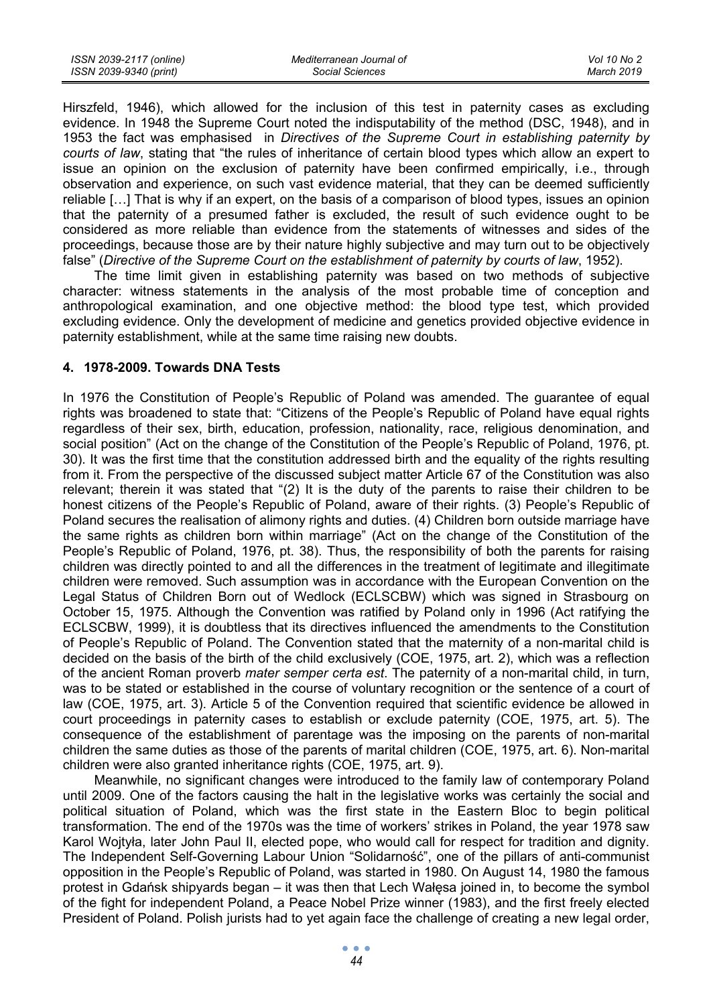| ISSN 2039-2117 (online) | Mediterranean Journal of | Vol 10 No 2 |
|-------------------------|--------------------------|-------------|
| ISSN 2039-9340 (print)  | Social Sciences          | March 2019  |

Hirszfeld, 1946), which allowed for the inclusion of this test in paternity cases as excluding evidence. In 1948 the Supreme Court noted the indisputability of the method (DSC, 1948), and in 1953 the fact was emphasised in *Directives of the Supreme Court in establishing paternity by courts of law*, stating that "the rules of inheritance of certain blood types which allow an expert to issue an opinion on the exclusion of paternity have been confirmed empirically, i.e., through observation and experience, on such vast evidence material, that they can be deemed sufficiently reliable […] That is why if an expert, on the basis of a comparison of blood types, issues an opinion that the paternity of a presumed father is excluded, the result of such evidence ought to be considered as more reliable than evidence from the statements of witnesses and sides of the proceedings, because those are by their nature highly subjective and may turn out to be objectively false" (*Directive of the Supreme Court on the establishment of paternity by courts of law*, 1952).

The time limit given in establishing paternity was based on two methods of subjective character: witness statements in the analysis of the most probable time of conception and anthropological examination, and one objective method: the blood type test, which provided excluding evidence. Only the development of medicine and genetics provided objective evidence in paternity establishment, while at the same time raising new doubts.

### **4. 1978-2009. Towards DNA Tests**

In 1976 the Constitution of People's Republic of Poland was amended. The quarantee of equal rights was broadened to state that: "Citizens of the People's Republic of Poland have equal rights regardless of their sex, birth, education, profession, nationality, race, religious denomination, and social position" (Act on the change of the Constitution of the People's Republic of Poland, 1976, pt. 30). It was the first time that the constitution addressed birth and the equality of the rights resulting from it. From the perspective of the discussed subject matter Article 67 of the Constitution was also relevant; therein it was stated that "(2) It is the duty of the parents to raise their children to be honest citizens of the People's Republic of Poland, aware of their rights. (3) People's Republic of Poland secures the realisation of alimony rights and duties. (4) Children born outside marriage have the same rights as children born within marriage" (Act on the change of the Constitution of the People's Republic of Poland, 1976, pt. 38). Thus, the responsibility of both the parents for raising children was directly pointed to and all the differences in the treatment of legitimate and illegitimate children were removed. Such assumption was in accordance with the European Convention on the Legal Status of Children Born out of Wedlock (ECLSCBW) which was signed in Strasbourg on October 15, 1975. Although the Convention was ratified by Poland only in 1996 (Act ratifying the ECLSCBW, 1999), it is doubtless that its directives influenced the amendments to the Constitution of People's Republic of Poland. The Convention stated that the maternity of a non-marital child is decided on the basis of the birth of the child exclusively (COE, 1975, art. 2), which was a reflection of the ancient Roman proverb *mater semper certa est*. The paternity of a non-marital child, in turn, was to be stated or established in the course of voluntary recognition or the sentence of a court of law (COE, 1975, art. 3). Article 5 of the Convention required that scientific evidence be allowed in court proceedings in paternity cases to establish or exclude paternity (COE, 1975, art. 5). The consequence of the establishment of parentage was the imposing on the parents of non-marital children the same duties as those of the parents of marital children (COE, 1975, art. 6). Non-marital children were also granted inheritance rights (COE, 1975, art. 9).

Meanwhile, no significant changes were introduced to the family law of contemporary Poland until 2009. One of the factors causing the halt in the legislative works was certainly the social and political situation of Poland, which was the first state in the Eastern Bloc to begin political transformation. The end of the 1970s was the time of workers' strikes in Poland, the year 1978 saw Karol Wojtyła, later John Paul II, elected pope, who would call for respect for tradition and dignity. The Independent Self-Governing Labour Union "Solidarność", one of the pillars of anti-communist opposition in the People's Republic of Poland, was started in 1980. On August 14, 1980 the famous protest in Gdańsk shipyards began – it was then that Lech Wałęsa joined in, to become the symbol of the fight for independent Poland, a Peace Nobel Prize winner (1983), and the first freely elected President of Poland. Polish jurists had to yet again face the challenge of creating a new legal order,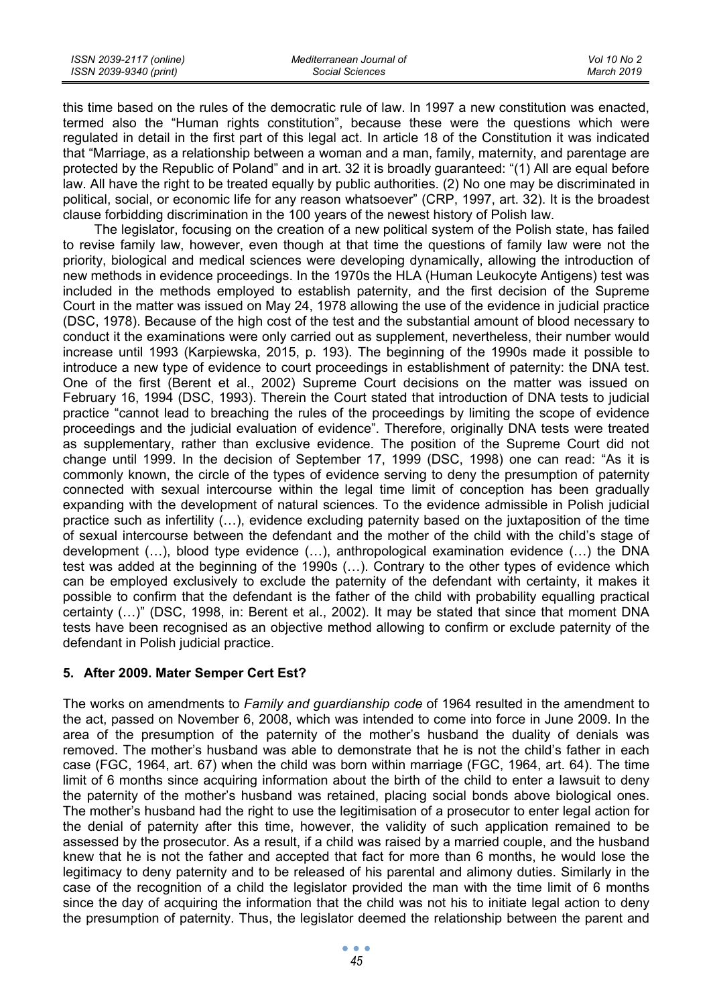| ISSN 2039-2117 (online) | Mediterranean Journal of | Vol 10 No 2 |
|-------------------------|--------------------------|-------------|
| ISSN 2039-9340 (print)  | Social Sciences          | March 2019  |

this time based on the rules of the democratic rule of law. In 1997 a new constitution was enacted, termed also the "Human rights constitution", because these were the questions which were regulated in detail in the first part of this legal act. In article 18 of the Constitution it was indicated that "Marriage, as a relationship between a woman and a man, family, maternity, and parentage are protected by the Republic of Poland" and in art. 32 it is broadly guaranteed: "(1) All are equal before law. All have the right to be treated equally by public authorities. (2) No one may be discriminated in political, social, or economic life for any reason whatsoever" (CRP, 1997, art. 32). It is the broadest clause forbidding discrimination in the 100 years of the newest history of Polish law.

The legislator, focusing on the creation of a new political system of the Polish state, has failed to revise family law, however, even though at that time the questions of family law were not the priority, biological and medical sciences were developing dynamically, allowing the introduction of new methods in evidence proceedings. In the 1970s the HLA (Human Leukocyte Antigens) test was included in the methods employed to establish paternity, and the first decision of the Supreme Court in the matter was issued on May 24, 1978 allowing the use of the evidence in judicial practice (DSC, 1978). Because of the high cost of the test and the substantial amount of blood necessary to conduct it the examinations were only carried out as supplement, nevertheless, their number would increase until 1993 (Karpiewska, 2015, p. 193). The beginning of the 1990s made it possible to introduce a new type of evidence to court proceedings in establishment of paternity: the DNA test. One of the first (Berent et al., 2002) Supreme Court decisions on the matter was issued on February 16, 1994 (DSC, 1993). Therein the Court stated that introduction of DNA tests to judicial practice "cannot lead to breaching the rules of the proceedings by limiting the scope of evidence proceedings and the judicial evaluation of evidence". Therefore, originally DNA tests were treated as supplementary, rather than exclusive evidence. The position of the Supreme Court did not change until 1999. In the decision of September 17, 1999 (DSC, 1998) one can read: "As it is commonly known, the circle of the types of evidence serving to deny the presumption of paternity connected with sexual intercourse within the legal time limit of conception has been gradually expanding with the development of natural sciences. To the evidence admissible in Polish judicial practice such as infertility (…), evidence excluding paternity based on the juxtaposition of the time of sexual intercourse between the defendant and the mother of the child with the child's stage of development (…), blood type evidence (…), anthropological examination evidence (…) the DNA test was added at the beginning of the 1990s (…). Contrary to the other types of evidence which can be employed exclusively to exclude the paternity of the defendant with certainty, it makes it possible to confirm that the defendant is the father of the child with probability equalling practical certainty (…)" (DSC, 1998, in: Berent et al., 2002). It may be stated that since that moment DNA tests have been recognised as an objective method allowing to confirm or exclude paternity of the defendant in Polish judicial practice.

# **5. After 2009. Mater Semper Cert Est?**

The works on amendments to *Family and guardianship code* of 1964 resulted in the amendment to the act, passed on November 6, 2008, which was intended to come into force in June 2009. In the area of the presumption of the paternity of the mother's husband the duality of denials was removed. The mother's husband was able to demonstrate that he is not the child's father in each case (FGC, 1964, art. 67) when the child was born within marriage (FGC, 1964, art. 64). The time limit of 6 months since acquiring information about the birth of the child to enter a lawsuit to deny the paternity of the mother's husband was retained, placing social bonds above biological ones. The mother's husband had the right to use the legitimisation of a prosecutor to enter legal action for the denial of paternity after this time, however, the validity of such application remained to be assessed by the prosecutor. As a result, if a child was raised by a married couple, and the husband knew that he is not the father and accepted that fact for more than 6 months, he would lose the legitimacy to deny paternity and to be released of his parental and alimony duties. Similarly in the case of the recognition of a child the legislator provided the man with the time limit of 6 months since the day of acquiring the information that the child was not his to initiate legal action to deny the presumption of paternity. Thus, the legislator deemed the relationship between the parent and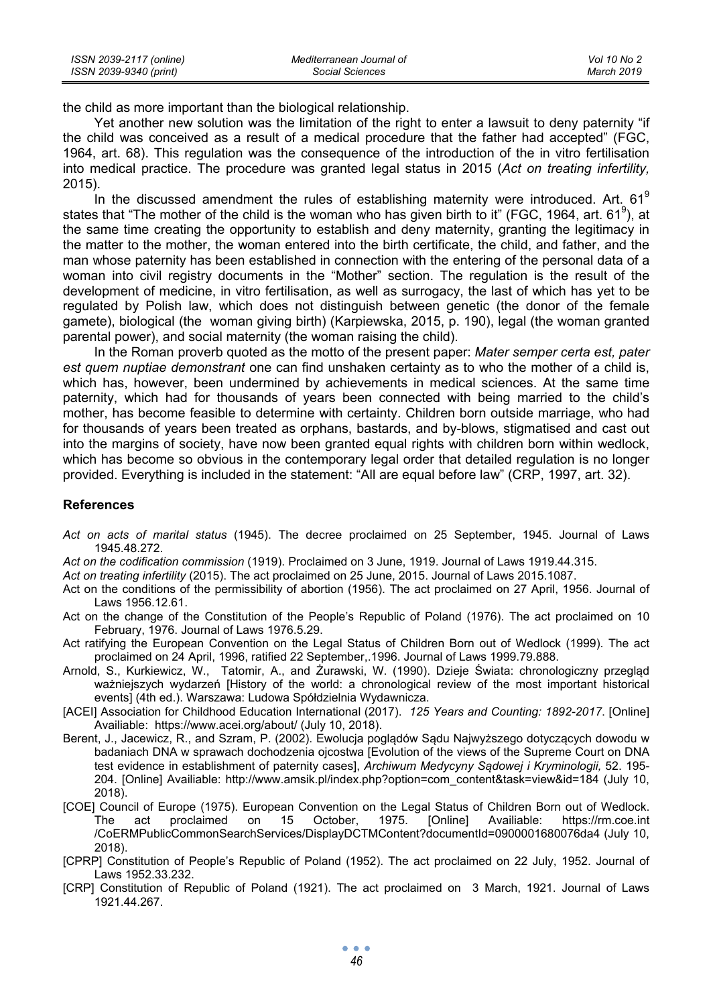| ISSN 2039-2117 (online) | Mediterranean Journal of | Vol 10 No 2 |
|-------------------------|--------------------------|-------------|
| ISSN 2039-9340 (print)  | Social Sciences          | March 2019  |

the child as more important than the biological relationship.

Yet another new solution was the limitation of the right to enter a lawsuit to deny paternity "if the child was conceived as a result of a medical procedure that the father had accepted" (FGC, 1964, art. 68). This regulation was the consequence of the introduction of the in vitro fertilisation into medical practice. The procedure was granted legal status in 2015 (*Act on treating infertility,*  2015).

In the discussed amendment the rules of establishing maternity were introduced. Art.  $61^9$ states that "The mother of the child is the woman who has given birth to it" (FGC, 1964, art. 61<sup>9</sup>), at the same time creating the opportunity to establish and deny maternity, granting the legitimacy in the matter to the mother, the woman entered into the birth certificate, the child, and father, and the man whose paternity has been established in connection with the entering of the personal data of a woman into civil registry documents in the "Mother" section. The regulation is the result of the development of medicine, in vitro fertilisation, as well as surrogacy, the last of which has yet to be regulated by Polish law, which does not distinguish between genetic (the donor of the female gamete), biological (the woman giving birth) (Karpiewska, 2015, p. 190), legal (the woman granted parental power), and social maternity (the woman raising the child).

In the Roman proverb quoted as the motto of the present paper: *Mater semper certa est, pater est quem nuptiae demonstrant* one can find unshaken certainty as to who the mother of a child is, which has, however, been undermined by achievements in medical sciences. At the same time paternity, which had for thousands of years been connected with being married to the child's mother, has become feasible to determine with certainty. Children born outside marriage, who had for thousands of years been treated as orphans, bastards, and by-blows, stigmatised and cast out into the margins of society, have now been granted equal rights with children born within wedlock, which has become so obvious in the contemporary legal order that detailed regulation is no longer provided. Everything is included in the statement: "All are equal before law" (CRP, 1997, art. 32).

#### **References**

- *Act on acts of marital status* (1945). The decree proclaimed on 25 September, 1945. Journal of Laws 1945.48.272.
- *Act on the codification commission* (1919). Proclaimed on 3 June, 1919. Journal of Laws 1919.44.315.

*Act on treating infertility* (2015). The act proclaimed on 25 June, 2015. Journal of Laws 2015.1087.

- Act on the conditions of the permissibility of abortion (1956). The act proclaimed on 27 April, 1956. Journal of Laws 1956.12.61.
- Act on the change of the Constitution of the People's Republic of Poland (1976). The act proclaimed on 10 February, 1976. Journal of Laws 1976.5.29.
- Act ratifying the European Convention on the Legal Status of Children Born out of Wedlock (1999). The act proclaimed on 24 April, 1996, ratified 22 September,.1996. Journal of Laws 1999.79.888.
- Arnold, S., Kurkiewicz, W., Tatomir, A., and Żurawski, W. (1990). Dzieje Świata: chronologiczny przegląd ważniejszych wydarzeń [History of the world: a chronological review of the most important historical events] (4th ed.). Warszawa: Ludowa Spółdzielnia Wydawnicza.
- [ACEI] Association for Childhood Education International (2017). *125 Years and Counting: 1892-2017*. [Online] Availiable: https://www.acei.org/about/ (July 10, 2018).
- Berent, J., Jacewicz, R., and Szram, P. (2002). Ewolucja poglądów Sądu Najwyższego dotyczących dowodu w badaniach DNA w sprawach dochodzenia ojcostwa [Evolution of the views of the Supreme Court on DNA test evidence in establishment of paternity cases], *Archiwum Medycyny Sądowej i Kryminologii,* 52. 195- 204. [Online] Availiable: http://www.amsik.pl/index.php?option=com\_content&task=view&id=184 (July 10, 2018).
- [COE] Council of Europe (1975). European Convention on the Legal Status of Children Born out of Wedlock. The act proclaimed on 15 October, 1975. [Online] Availiable: https://rm.coe.int /CoERMPublicCommonSearchServices/DisplayDCTMContent?documentId=0900001680076da4 (July 10, 2018).
- [CPRP] Constitution of People's Republic of Poland (1952). The act proclaimed on 22 July, 1952. Journal of Laws 1952.33.232.
- [CRP] Constitution of Republic of Poland (1921). The act proclaimed on 3 March, 1921. Journal of Laws 1921.44.267.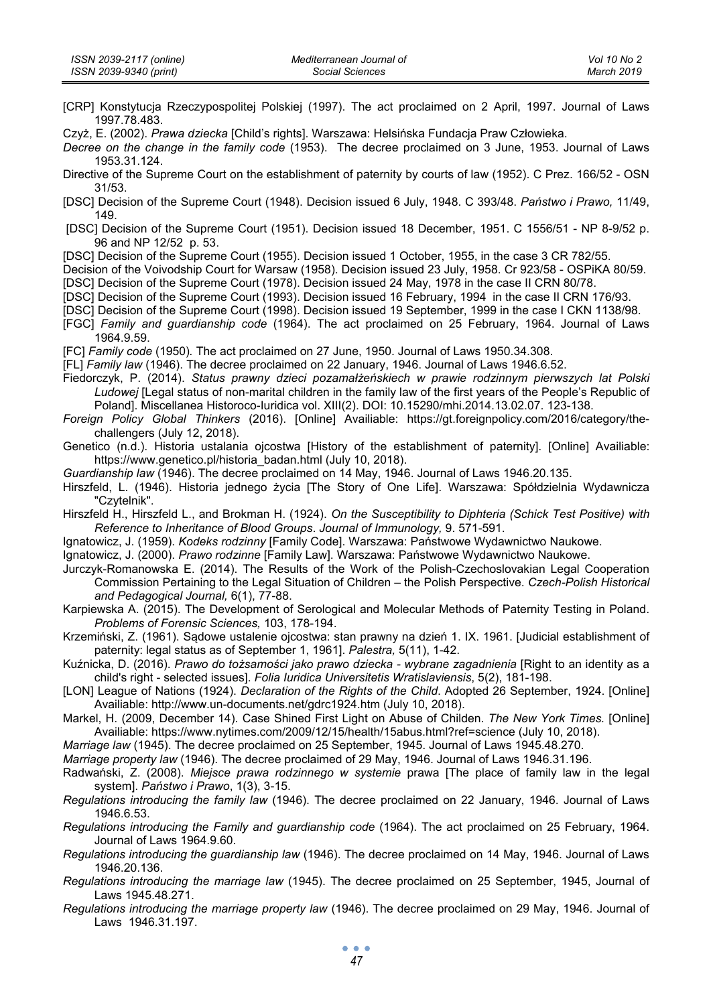- [CRP] Konstytucja Rzeczypospolitej Polskiej (1997). The act proclaimed on 2 April, 1997. Journal of Laws 1997.78.483.
- Czyż, E. (2002). *Prawa dziecka* [Child's rights]. Warszawa: Helsińska Fundacja Praw Człowieka.
- *Decree on the change in the family code* (1953). The decree proclaimed on 3 June, 1953. Journal of Laws 1953.31.124.
- Directive of the Supreme Court on the establishment of paternity by courts of law (1952). C Prez. 166/52 OSN 31/53.
- [DSC] Decision of the Supreme Court (1948). Decision issued 6 July, 1948. C 393/48. *Państwo i Prawo,* 11/49, 149.
- [DSC] Decision of the Supreme Court (1951). Decision issued 18 December, 1951. C 1556/51 NP 8-9/52 p. 96 and NP 12/52 p. 53.

[DSC] Decision of the Supreme Court (1955). Decision issued 1 October, 1955, in the case 3 CR 782/55.

Decision of the Voivodship Court for Warsaw (1958). Decision issued 23 July, 1958. Cr 923/58 - OSPiKA 80/59.

- [DSC] Decision of the Supreme Court (1978). Decision issued 24 May, 1978 in the case II CRN 80/78.
- [DSC] Decision of the Supreme Court (1993). Decision issued 16 February, 1994 in the case II CRN 176/93.
- [DSC] Decision of the Supreme Court (1998). Decision issued 19 September, 1999 in the case I CKN 1138/98.
- [FGC] *Family and guardianship code* (1964). The act proclaimed on 25 February, 1964. Journal of Laws 1964.9.59.
- [FC] *Family code* (1950)*.* The act proclaimed on 27 June, 1950. Journal of Laws 1950.34.308.
- [FL] *Family law* (1946). The decree proclaimed on 22 January, 1946. Journal of Laws 1946.6.52.
- Fiedorczyk, P. (2014). *Status prawny dzieci pozamałżeńskiech w prawie rodzinnym pierwszych lat Polski Ludowej* [Legal status of non-marital children in the family law of the first years of the People's Republic of Poland]. Miscellanea Historoco-Iuridica vol. XIII(2). DOI: 10.15290/mhi.2014.13.02.07. 123-138.
- *Foreign Policy Global Thinkers* (2016). [Online] Availiable: https://gt.foreignpolicy.com/2016/category/thechallengers (July 12, 2018).
- Genetico (n.d.). Historia ustalania ojcostwa [History of the establishment of paternity]. [Online] Availiable: https://www.genetico.pl/historia\_badan.html (July 10, 2018).
- *Guardianship law* (1946). The decree proclaimed on 14 May, 1946. Journal of Laws 1946.20.135.
- Hirszfeld, L. (1946). Historia jednego życia [The Story of One Life]. Warszawa: Spółdzielnia Wydawnicza "Czytelnik".
- Hirszfeld H., Hirszfeld L., and Brokman H. (1924). *On the Susceptibility to Diphteria (Schick Test Positive) with Reference to Inheritance of Blood Groups*. *Journal of Immunology,* 9. 571-591.
- Ignatowicz, J. (1959). *Kodeks rodzinny* [Family Code]. Warszawa: Państwowe Wydawnictwo Naukowe.

Ignatowicz, J. (2000). *Prawo rodzinne* [Family Law]. Warszawa: Państwowe Wydawnictwo Naukowe.

- Jurczyk-Romanowska E. (2014). The Results of the Work of the Polish-Czechoslovakian Legal Cooperation Commission Pertaining to the Legal Situation of Children – the Polish Perspective. *Czech-Polish Historical and Pedagogical Journal,* 6(1), 77-88.
- Karpiewska A. (2015). The Development of Serological and Molecular Methods of Paternity Testing in Poland. *Problems of Forensic Sciences,* 103, 178-194.
- Krzemiński, Z. (1961). Sądowe ustalenie ojcostwa: stan prawny na dzień 1. IX. 1961. [Judicial establishment of paternity: legal status as of September 1, 1961]. *Palestra,* 5(11), 1-42.
- Kuźnicka, D. (2016). *Prawo do tożsamości jako prawo dziecka wybrane zagadnienia* [Right to an identity as a child's right - selected issues]. *Folia Iuridica Universitetis Wratislaviensis*, 5(2), 181-198.
- [LON] League of Nations (1924). *Declaration of the Rights of the Child*. Adopted 26 September, 1924. [Online] Availiable: http://www.un-documents.net/gdrc1924.htm (July 10, 2018).
- Markel, H. (2009, December 14). Case Shined First Light on Abuse of Childen. *The New York Times.* [Online] Availiable: https://www.nytimes.com/2009/12/15/health/15abus.html?ref=science (July 10, 2018).

*Marriage law* (1945). The decree proclaimed on 25 September, 1945. Journal of Laws 1945.48.270.

*Marriage property law* (1946). The decree proclaimed of 29 May, 1946. Journal of Laws 1946.31.196.

- Radwański, Z. (2008). *Miejsce prawa rodzinnego w systemie* prawa [The place of family law in the legal system]. *Państwo i Prawo*, 1(3), 3-15.
- *Regulations introducing the family law* (1946). The decree proclaimed on 22 January, 1946. Journal of Laws 1946.6.53.
- *Regulations introducing the Family and guardianship code* (1964). The act proclaimed on 25 February, 1964. Journal of Laws 1964.9.60.
- *Regulations introducing the guardianship law* (1946). The decree proclaimed on 14 May, 1946. Journal of Laws 1946.20.136.
- *Regulations introducing the marriage law* (1945). The decree proclaimed on 25 September, 1945, Journal of Laws 1945.48.271.
- *Regulations introducing the marriage property law* (1946). The decree proclaimed on 29 May, 1946. Journal of Laws 1946.31.197.